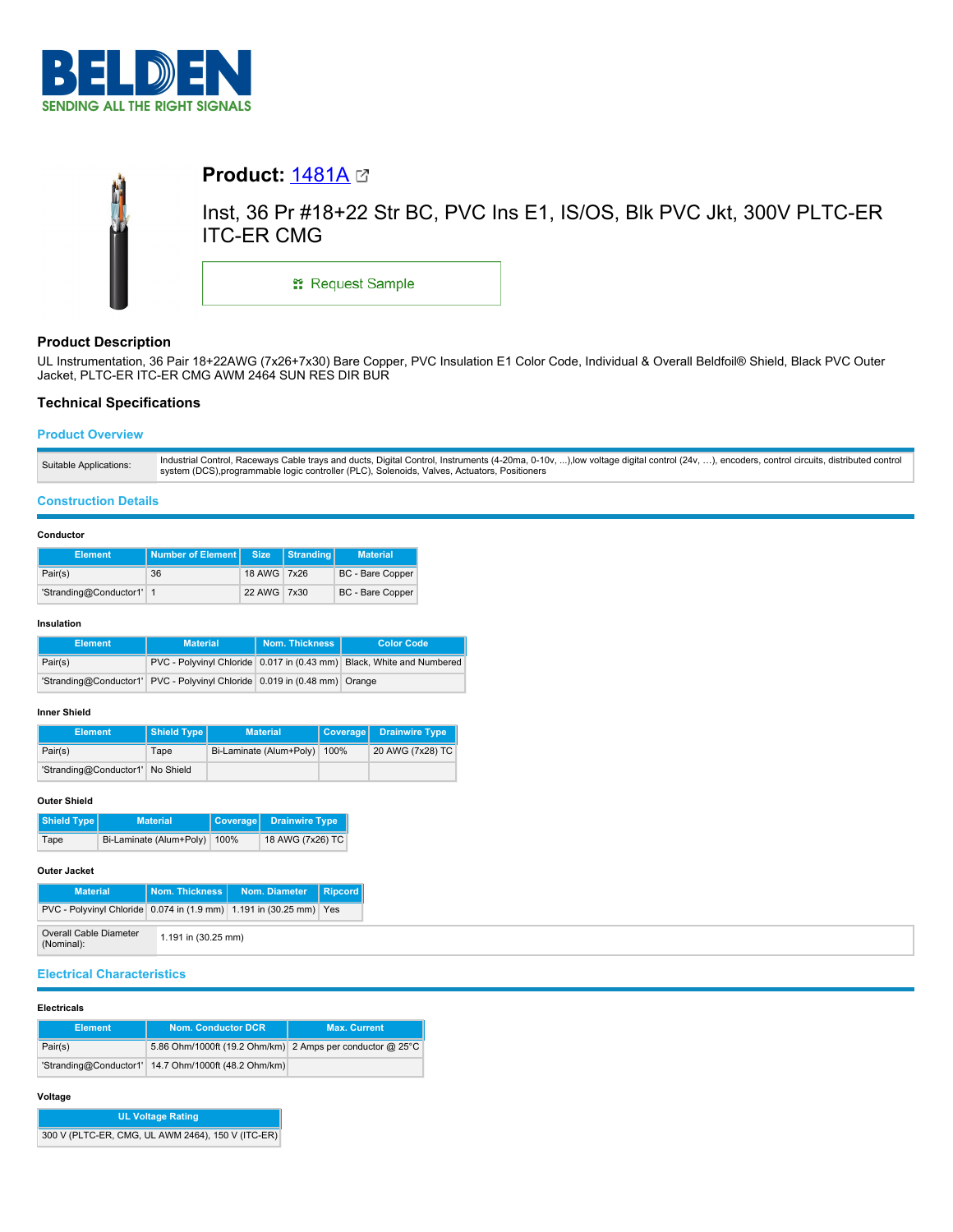



# **Product Description**

UL Instrumentation, 36 Pair 18+22AWG (7x26+7x30) Bare Copper, PVC Insulation E1 Color Code, Individual & Overall Beldfoil® Shield, Black PVC Outer Jacket, PLTC-ER ITC-ER CMG AWM 2464 SUN RES DIR BUR

# **Technical Specifications**

# **Product Overview**

## **Construction Details**

### **Conductor**

| <b>Element</b>           | Number of Element Size |             | Stranding | <b>Material</b>  |
|--------------------------|------------------------|-------------|-----------|------------------|
| Pair(s)                  | 36                     | 18 AWG 7x26 |           | BC - Bare Copper |
| 'Stranding@Conductor1' 1 |                        | 22 AWG 7x30 |           | BC - Bare Copper |

#### **Insulation**

| <b>Element</b> | <b>Material</b>                                                           | Nom. Thickness I | <b>Color Code</b>                                                     |
|----------------|---------------------------------------------------------------------------|------------------|-----------------------------------------------------------------------|
| Pair(s)        |                                                                           |                  | PVC - Polyvinyl Chloride 0.017 in (0.43 mm) Black, White and Numbered |
|                | 'Stranding@Conductor1' PVC - Polyvinyl Chloride 0.019 in (0.48 mm) Orange |                  |                                                                       |

## **Inner Shield**

| <b>Element</b>                   | Shield Type | <b>Material</b>                | Coverage Drainwire Type |
|----------------------------------|-------------|--------------------------------|-------------------------|
| Pair(s)                          | Tape        | Bi-Laminate (Alum+Poly)   100% | 20 AWG (7x28) TC        |
| 'Stranding@Conductor1' No Shield |             |                                |                         |

### **Outer Shield**

| Shield Type | <b>Material</b>         | <b>Coverage</b> | <b>Drainwire Type</b> |
|-------------|-------------------------|-----------------|-----------------------|
| Tape        | Bi-Laminate (Alum+Poly) | 100%            | 18 AWG (7x26) TC      |

## **Outer Jacket**

| <b>Material</b>                                                    | Nom. Thickness I    | Nom. Diameter | $\vert$ Ripcord $\vert$ |
|--------------------------------------------------------------------|---------------------|---------------|-------------------------|
| PVC - Polyvinyl Chloride 0.074 in (1.9 mm) 1.191 in (30.25 mm) Yes |                     |               |                         |
| Overall Cable Diameter<br>(Nominal):                               | 1.191 in (30.25 mm) |               |                         |

# **Electrical Characteristics**

### **Electricals**

| <b>Element</b> | <b>Nom. Conductor DCR</b>                                 | <b>Max. Current</b> |
|----------------|-----------------------------------------------------------|---------------------|
| Pair(s)        | 5.86 Ohm/1000ft (19.2 Ohm/km) 2 Amps per conductor @ 25°C |                     |
|                | 'Stranding@Conductor1' 14.7 Ohm/1000ft (48.2 Ohm/km)      |                     |

## **Voltage**

| <b>UL Voltage Rating</b>                          |  |
|---------------------------------------------------|--|
| 300 V (PLTC-ER, CMG, UL AWM 2464), 150 V (ITC-ER) |  |